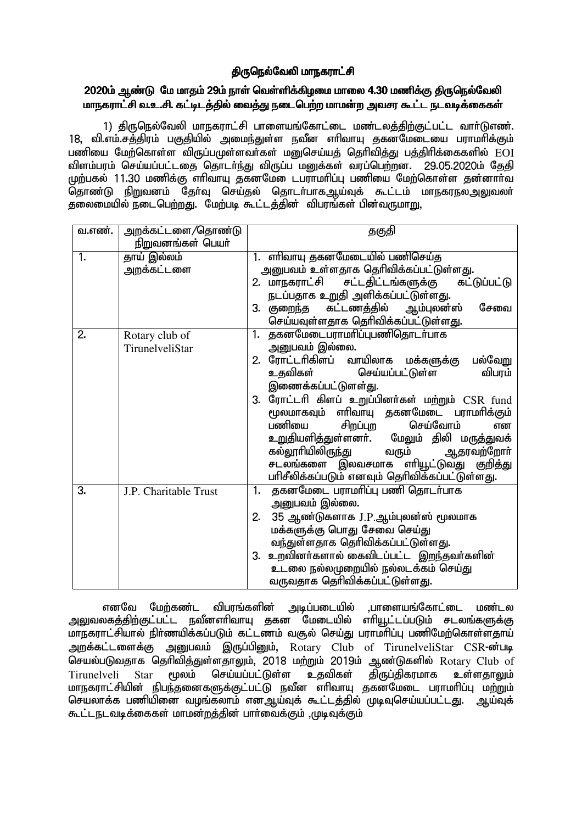## திருநெல்வேலி மாநகராட்சி

## 2020ம் ஆண்டு மே மாதம் 29ம் நாள் வெள்ளிக்கிழமை மாலை 4.30 மணிக்கு திருநெல்வேலி மாநகராட்சி வ.உ.சி. கட்டிடத்தில் வைத்து நடைபெற்ற மாமன்ற அவசர கூட்ட நடவடிக்கைகள்

1) திருநெல்வேலி மாநகராட்சி பாளையங்கோட்டை மண்டலத்திற்குட்பட்ட வார்டுஎண். 18. வி.எம்.சத்திரம் பகுதியில் அமைந்துள்ள நவீன எரிவாயு தகனமேடையை பராமரிக்கும் பணியை மேற்கொள்ள விருப்பமுள்ளவா்கள் மனுசெய்யத் தெரிவித்து பத்திரிக்கைகளில் EOI விளம்பரம் செய்யப்பட்டதை தொடர்ந்து விருப்ப மனுக்கள் வரப்பெற்றன. 29.05.2020ம் தேதி முற்பகல் 11.30 மணிக்கு எரிவாயு குகனமே ைடபராமரிப்பு பணியை மேற்கொள்ள குன்னார்வ .<br><u>தொண்டு நிறு</u>வனம் தேர்வு செய்தல் தொடர்பாகஆய்வுக் கூட்டம் மாநகரநலஅலுவலர் தலைமையில் நடைபெற்றது. மேற்படி கூட்டத்தின் விபரங்கள் பின்வருமா<u>று,</u>

| வ.எண்.           | அறக்கட்டளை/தொண்டு     | தகுதி                                                                                     |
|------------------|-----------------------|-------------------------------------------------------------------------------------------|
|                  | நிறுவனங்கள் பெயர்     |                                                                                           |
| $\overline{1}$ . | தாய் இல்லம்           | 1. எரிவாயு தகனமேடையில் பணிசெய்த                                                           |
|                  | அறக்கட்டளை            | அனுபவம் உள்ளதாக தெரிவிக்கப்பட்டுள்ளது.                                                    |
|                  |                       | 2. மாநகராட்சி சட்டதிட்டங்களுக்கு<br>கட்டுப்பட்டு                                          |
|                  |                       | நடப்பதாக உறுதி அளிக்கப்பட்டுள்ளது.                                                        |
|                  |                       | 3. குறைந்த கட்டணத்தில் ஆம்புலன்ஸ்<br>சேவை                                                 |
|                  |                       | செய்யவுள்ளதாக தெரிவிக்கப்பட்டுள்ளது.                                                      |
| $\overline{2}$ . | Rotary club of        | தகனமேடைபராமரிப்புபணிதொடர்பாக<br>1.                                                        |
|                  | TirunelveliStar       | அனுபவம் இல்லை.                                                                            |
|                  |                       | 2. ரோட்டாிகிளப் வாயிலாக மக்களுக்கு<br>பல்வேறு                                             |
|                  |                       | செய்யப்பட்டுள்ள<br>உதவிகள்<br>விபரம்                                                      |
|                  |                       | இணைக்கப்பட்டுளள்து.                                                                       |
|                  |                       | 3. ரோட்டரி கிளப் உறுப்பினர்கள் மற்றும் CSR fund                                           |
|                  |                       | மூலமாகவும் எரிவாயு தகனமேடை பராமரிக்கும்                                                   |
|                  |                       | பணியை சிறப்புற<br>செய்வோம்<br>என                                                          |
|                  |                       | உறுதியளித்துள்ளனா். மேலும் திலி மருத்துவக்                                                |
|                  |                       | கல்லூாியிலிருந்து<br>வரும் ஆதரவற்றோா்                                                     |
|                  |                       | சடலங்களை இலவசமாக எரியூட்டுவது குறித்து<br>பரிசீலிக்கப்படும் எனவும் தெரிவிக்கப்பட்டுள்ளது. |
| 3.               |                       | தகனமேடை பராமரிப்பு பணி தொடர்பாக<br>1.                                                     |
|                  | J.P. Charitable Trust | அனுபவம் இல்லை.                                                                            |
|                  |                       |                                                                                           |
|                  |                       | 35 ஆண்டுகளாக J.P.ஆம்புலன்ஸ் மூலமாக<br>2.                                                  |
|                  |                       | மக்களுக்கு பொது சேவை செய்து                                                               |
|                  |                       | வந்துள்ளதாக தெரிவிக்கப்பட்டுள்ளது.<br>3. உறவினா்களால் கைவிடப்பட்ட இறந்தவா்களின்           |
|                  |                       | உடலை நல்லமுறையில் நல்லடக்கம் செய்து                                                       |
|                  |                       | வருவதாக தொிவிக்கப்பட்டுள்ளது.                                                             |
|                  |                       |                                                                                           |

எனவே மேற்கண்ட விபரங்களின் அடிப்படையில் ,பாளையங்கோட்டை மண்டல அலுவலகத்திற்குட்பட்ட நவீனளிவாயு தகன<sup>் '</sup>மேடையில் எரியூட்டப்படும் சடலங்களுக்கு மாநகராட்சியால் நிர்ணயிக்கப்படும் கட்டணம் வசூல் செய்து பராமாிப்பு பணிமேற்கொள்ளதாய் அறக்கட்டளைக்கு அனுபவம் இருப்பினும், Rotary Club of TirunelveliStar CSR-ன்படி செயல்படுவதாக தெரிவித்துள்ளதாலும், 2018 மற்றும் 2019ம் ஆண்டுகளில் Rotary Club of செய்யப்பட்டுள்ள உகவிகள் கிருப்கிகாமாக மூலம் உள்ளகாலும் Tirunelveli **Star** மாநகராட்சியின் நிபந்தனைகளுக்குட்பட்டு நவீன எரிவாயு தகனமேடை பராமரிப்பு மற்றும் செயலாக்க பணியினை வழங்கலாம் எனஅய்வுக் கூட்டத்தில் முடிவுசெய்யப்பட்டது. அய்வுக் கூட்டநடவடிக்கைகள் மாமன்றத்தின் பார்வைக்கும் ,முடிவுக்கும்